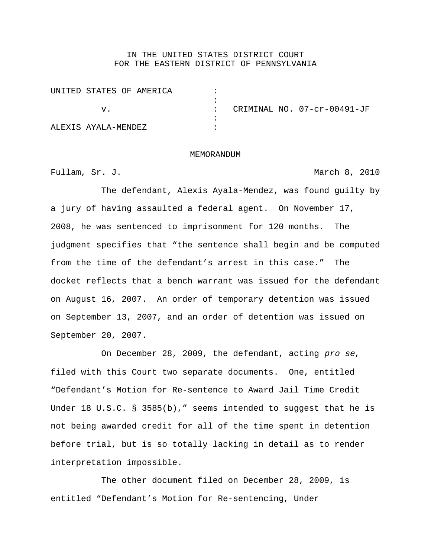## IN THE UNITED STATES DISTRICT COURT FOR THE EASTERN DISTRICT OF PENNSYLVANIA

|                     | UNITED STATES OF AMERICA |  |                             |
|---------------------|--------------------------|--|-----------------------------|
|                     |                          |  |                             |
| V.                  |                          |  | CRIMINAL NO. 07-cr-00491-JF |
|                     |                          |  |                             |
| ALEXIS AYALA-MENDEZ |                          |  |                             |

## MEMORANDUM

Fullam, Sr. J. March 8, 2010

The defendant, Alexis Ayala-Mendez, was found guilty by a jury of having assaulted a federal agent. On November 17, 2008, he was sentenced to imprisonment for 120 months. The judgment specifies that "the sentence shall begin and be computed from the time of the defendant's arrest in this case." The docket reflects that a bench warrant was issued for the defendant on August 16, 2007. An order of temporary detention was issued on September 13, 2007, and an order of detention was issued on September 20, 2007.

On December 28, 2009, the defendant, acting pro se, filed with this Court two separate documents. One, entitled "Defendant's Motion for Re-sentence to Award Jail Time Credit Under 18 U.S.C. § 3585(b)," seems intended to suggest that he is not being awarded credit for all of the time spent in detention before trial, but is so totally lacking in detail as to render interpretation impossible.

The other document filed on December 28, 2009, is entitled "Defendant's Motion for Re-sentencing, Under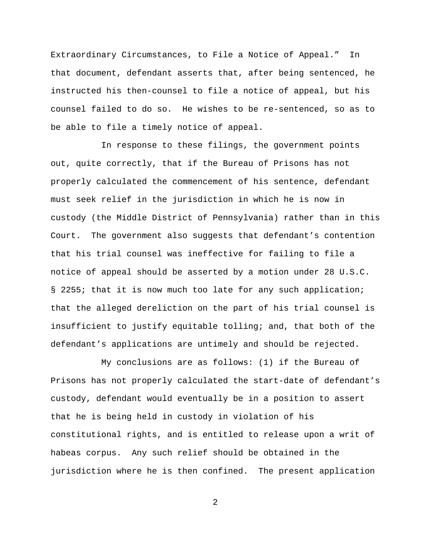Extraordinary Circumstances, to File a Notice of Appeal." In that document, defendant asserts that, after being sentenced, he instructed his then-counsel to file a notice of appeal, but his counsel failed to do so. He wishes to be re-sentenced, so as to be able to file a timely notice of appeal.

In response to these filings, the government points out, quite correctly, that if the Bureau of Prisons has not properly calculated the commencement of his sentence, defendant must seek relief in the jurisdiction in which he is now in custody (the Middle District of Pennsylvania) rather than in this Court. The government also suggests that defendant's contention that his trial counsel was ineffective for failing to file a notice of appeal should be asserted by a motion under 28 U.S.C. § 2255; that it is now much too late for any such application; that the alleged dereliction on the part of his trial counsel is insufficient to justify equitable tolling; and, that both of the defendant's applications are untimely and should be rejected.

My conclusions are as follows: (1) if the Bureau of Prisons has not properly calculated the start-date of defendant's custody, defendant would eventually be in a position to assert that he is being held in custody in violation of his constitutional rights, and is entitled to release upon a writ of habeas corpus. Any such relief should be obtained in the jurisdiction where he is then confined. The present application

2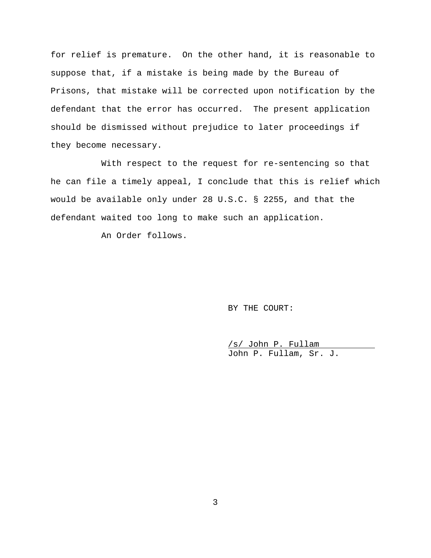for relief is premature. On the other hand, it is reasonable to suppose that, if a mistake is being made by the Bureau of Prisons, that mistake will be corrected upon notification by the defendant that the error has occurred. The present application should be dismissed without prejudice to later proceedings if they become necessary.

With respect to the request for re-sentencing so that he can file a timely appeal, I conclude that this is relief which would be available only under 28 U.S.C. § 2255, and that the defendant waited too long to make such an application.

An Order follows.

BY THE COURT:

/s/ John P. Fullam John P. Fullam, Sr. J.